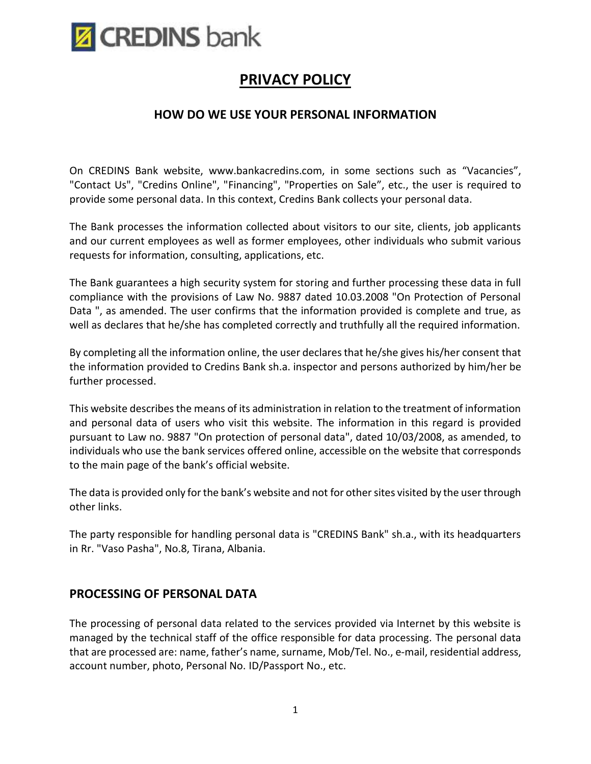

# **PRIVACY POLICY**

## **HOW DO WE USE YOUR PERSONAL INFORMATION**

On CREDINS Bank website, www.bankacredins.com, in some sections such as "Vacancies", "Contact Us", "Credins Online", "Financing", "Properties on Sale", etc., the user is required to provide some personal data. In this context, Credins Bank collects your personal data.

The Bank processes the information collected about visitors to our site, clients, job applicants and our current employees as well as former employees, other individuals who submit various requests for information, consulting, applications, etc.

The Bank guarantees a high security system for storing and further processing these data in full compliance with the provisions of Law No. 9887 dated 10.03.2008 "On Protection of Personal Data ", as amended. The user confirms that the information provided is complete and true, as well as declares that he/she has completed correctly and truthfully all the required information.

By completing all the information online, the user declares that he/she gives his/her consent that the information provided to Credins Bank sh.a. inspector and persons authorized by him/her be further processed.

This website describes the means of its administration in relation to the treatment of information and personal data of users who visit this website. The information in this regard is provided pursuant to Law no. 9887 "On protection of personal data", dated 10/03/2008, as amended, to individuals who use the bank services offered online, accessible on the website that corresponds to the main page of the bank's official website.

The data is provided only for the bank's website and not for other sites visited by the user through other links.

The party responsible for handling personal data is "CREDINS Bank" sh.a., with its headquarters in Rr. "Vaso Pasha", No.8, Tirana, Albania.

#### **PROCESSING OF PERSONAL DATA**

The processing of personal data related to the services provided via Internet by this website is managed by the technical staff of the office responsible for data processing. The personal data that are processed are: name, father's name, surname, Mob/Tel. No., e-mail, residential address, account number, photo, Personal No. ID/Passport No., etc.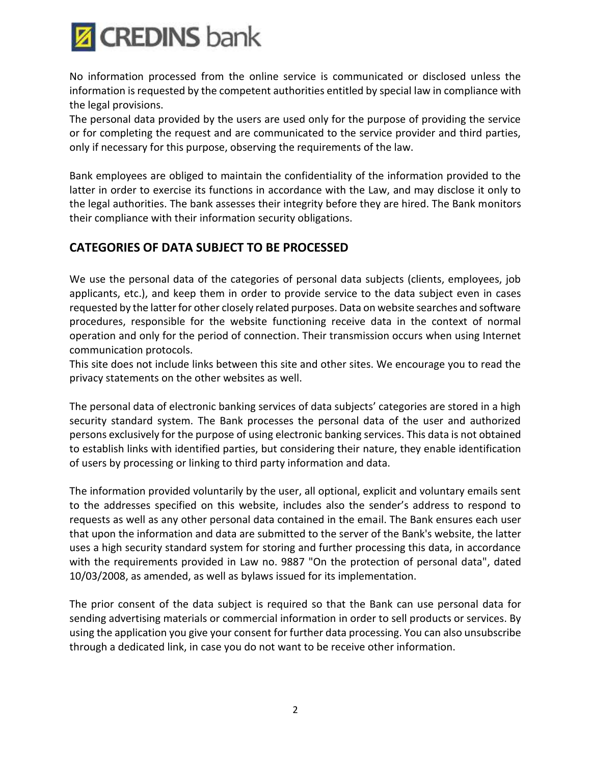

No information processed from the online service is communicated or disclosed unless the information is requested by the competent authorities entitled by special law in compliance with the legal provisions.

The personal data provided by the users are used only for the purpose of providing the service or for completing the request and are communicated to the service provider and third parties, only if necessary for this purpose, observing the requirements of the law.

Bank employees are obliged to maintain the confidentiality of the information provided to the latter in order to exercise its functions in accordance with the Law, and may disclose it only to the legal authorities. The bank assesses their integrity before they are hired. The Bank monitors their compliance with their information security obligations.

## **CATEGORIES OF DATA SUBJECT TO BE PROCESSED**

We use the personal data of the categories of personal data subjects (clients, employees, job applicants, etc.), and keep them in order to provide service to the data subject even in cases requested by the latter for other closely related purposes. Data on website searches and software procedures, responsible for the website functioning receive data in the context of normal operation and only for the period of connection. Their transmission occurs when using Internet communication protocols.

This site does not include links between this site and other sites. We encourage you to read the privacy statements on the other websites as well.

The personal data of electronic banking services of data subjects' categories are stored in a high security standard system. The Bank processes the personal data of the user and authorized persons exclusively for the purpose of using electronic banking services. This data is not obtained to establish links with identified parties, but considering their nature, they enable identification of users by processing or linking to third party information and data.

The information provided voluntarily by the user, all optional, explicit and voluntary emails sent to the addresses specified on this website, includes also the sender's address to respond to requests as well as any other personal data contained in the email. The Bank ensures each user that upon the information and data are submitted to the server of the Bank's website, the latter uses a high security standard system for storing and further processing this data, in accordance with the requirements provided in Law no. 9887 "On the protection of personal data", dated 10/03/2008, as amended, as well as bylaws issued for its implementation.

The prior consent of the data subject is required so that the Bank can use personal data for sending advertising materials or commercial information in order to sell products or services. By using the application you give your consent for further data processing. You can also unsubscribe through a dedicated link, in case you do not want to be receive other information.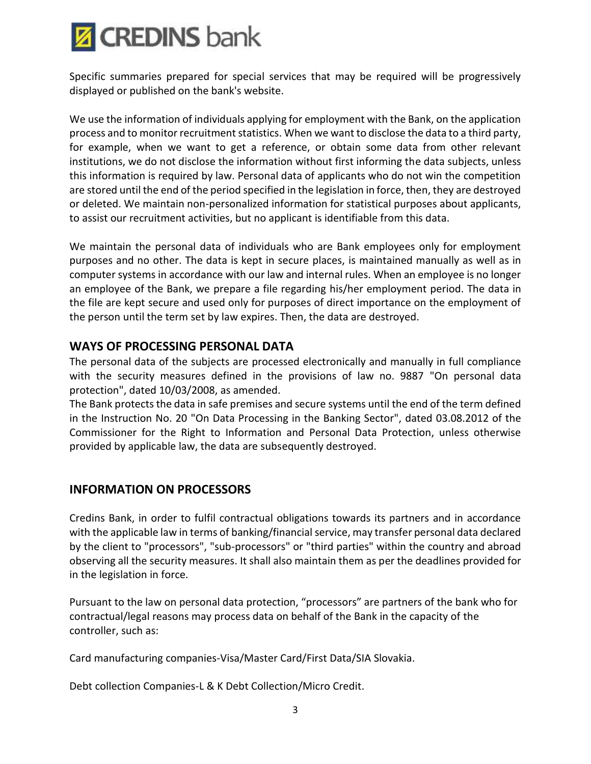

Specific summaries prepared for special services that may be required will be progressively displayed or published on the bank's website.

We use the information of individuals applying for employment with the Bank, on the application process and to monitor recruitment statistics. When we want to disclose the data to a third party, for example, when we want to get a reference, or obtain some data from other relevant institutions, we do not disclose the information without first informing the data subjects, unless this information is required by law. Personal data of applicants who do not win the competition are stored until the end of the period specified in the legislation in force, then, they are destroyed or deleted. We maintain non-personalized information for statistical purposes about applicants, to assist our recruitment activities, but no applicant is identifiable from this data.

We maintain the personal data of individuals who are Bank employees only for employment purposes and no other. The data is kept in secure places, is maintained manually as well as in computer systems in accordance with our law and internal rules. When an employee is no longer an employee of the Bank, we prepare a file regarding his/her employment period. The data in the file are kept secure and used only for purposes of direct importance on the employment of the person until the term set by law expires. Then, the data are destroyed.

## **WAYS OF PROCESSING PERSONAL DATA**

The personal data of the subjects are processed electronically and manually in full compliance with the security measures defined in the provisions of law no. 9887 "On personal data protection", dated 10/03/2008, as amended.

The Bank protects the data in safe premises and secure systems until the end of the term defined in the Instruction No. 20 "On Data Processing in the Banking Sector", dated 03.08.2012 of the Commissioner for the Right to Information and Personal Data Protection, unless otherwise provided by applicable law, the data are subsequently destroyed.

#### **INFORMATION ON PROCESSORS**

Credins Bank, in order to fulfil contractual obligations towards its partners and in accordance with the applicable law in terms of banking/financial service, may transfer personal data declared by the client to "processors", "sub-processors" or "third parties" within the country and abroad observing all the security measures. It shall also maintain them as per the deadlines provided for in the legislation in force.

Pursuant to the law on personal data protection, "processors" are partners of the bank who for contractual/legal reasons may process data on behalf of the Bank in the capacity of the controller, such as:

Card manufacturing companies-Visa/Master Card/First Data/SIA Slovakia.

Debt collection Companies-L & K Debt Collection/Micro Credit.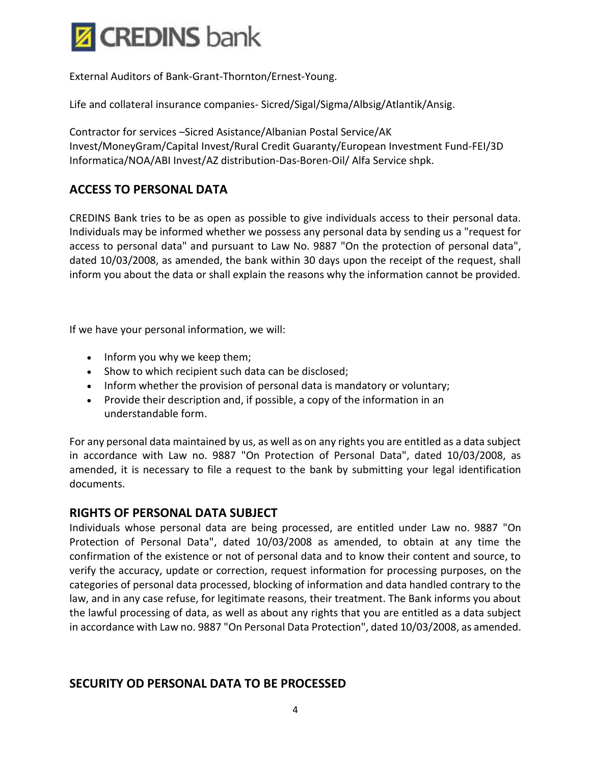

External Auditors of Bank-Grant-Thornton/Ernest-Young.

Life and collateral insurance companies- Sicred/Sigal/Sigma/Albsig/Atlantik/Ansig.

Contractor for services –Sicred Asistance/Albanian Postal Service/AK Invest/MoneyGram/Capital Invest/Rural Credit Guaranty/European Investment Fund-FEI/3D Informatica/NOA/ABI Invest/AZ distribution-Das-Boren-Oil/ Alfa Service shpk.

# **ACCESS TO PERSONAL DATA**

CREDINS Bank tries to be as open as possible to give individuals access to their personal data. Individuals may be informed whether we possess any personal data by sending us a "request for access to personal data" and pursuant to Law No. 9887 "On the protection of personal data", dated 10/03/2008, as amended, the bank within 30 days upon the receipt of the request, shall inform you about the data or shall explain the reasons why the information cannot be provided.

If we have your personal information, we will:

- Inform you why we keep them;
- Show to which recipient such data can be disclosed;
- Inform whether the provision of personal data is mandatory or voluntary;
- Provide their description and, if possible, a copy of the information in an understandable form.

For any personal data maintained by us, as well as on any rights you are entitled as a data subject in accordance with Law no. 9887 "On Protection of Personal Data", dated 10/03/2008, as amended, it is necessary to file a request to the bank by submitting your legal identification documents.

#### **RIGHTS OF PERSONAL DATA SUBJECT**

Individuals whose personal data are being processed, are entitled under Law no. 9887 "On Protection of Personal Data", dated 10/03/2008 as amended, to obtain at any time the confirmation of the existence or not of personal data and to know their content and source, to verify the accuracy, update or correction, request information for processing purposes, on the categories of personal data processed, blocking of information and data handled contrary to the law, and in any case refuse, for legitimate reasons, their treatment. The Bank informs you about the lawful processing of data, as well as about any rights that you are entitled as a data subject in accordance with Law no. 9887 "On Personal Data Protection", dated 10/03/2008, as amended.

#### **SECURITY OD PERSONAL DATA TO BE PROCESSED**